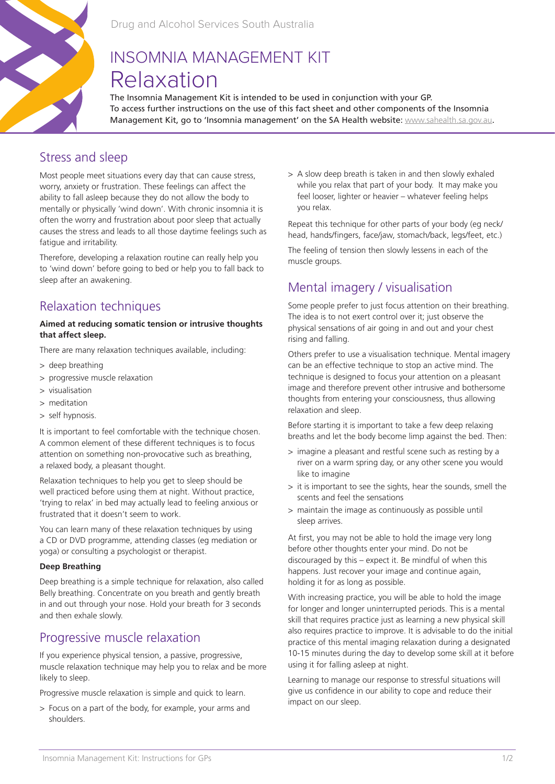

# INSOMNIA MANAGEMENT KIT Relaxation

The Insomnia Management Kit is intended to be used in conjunction with your GP. To access further instructions on the use of this fact sheet and other components of the Insomnia Management Kit, go to 'Insomnia management' on the SA Health website: www.sahealth.sa.gov.au.

### Stress and sleep

Most people meet situations every day that can cause stress, worry, anxiety or frustration. These feelings can affect the ability to fall asleep because they do not allow the body to mentally or physically 'wind down'. With chronic insomnia it is often the worry and frustration about poor sleep that actually causes the stress and leads to all those daytime feelings such as fatigue and irritability.

Therefore, developing a relaxation routine can really help you to 'wind down' before going to bed or help you to fall back to sleep after an awakening.

# Relaxation techniques

#### **Aimed at reducing somatic tension or intrusive thoughts that affect sleep.**

There are many relaxation techniques available, including:

- > deep breathing
- > progressive muscle relaxation
- > visualisation
- > meditation
- > self hypnosis.

It is important to feel comfortable with the technique chosen. A common element of these different techniques is to focus attention on something non-provocative such as breathing, a relaxed body, a pleasant thought.

Relaxation techniques to help you get to sleep should be well practiced before using them at night. Without practice, 'trying to relax' in bed may actually lead to feeling anxious or frustrated that it doesn't seem to work.

You can learn many of these relaxation techniques by using a CD or DVD programme, attending classes (eg mediation or yoga) or consulting a psychologist or therapist.

#### **Deep Breathing**

Deep breathing is a simple technique for relaxation, also called Belly breathing. Concentrate on you breath and gently breath in and out through your nose. Hold your breath for 3 seconds and then exhale slowly.

### Progressive muscle relaxation

If you experience physical tension, a passive, progressive, muscle relaxation technique may help you to relax and be more likely to sleep.

Progressive muscle relaxation is simple and quick to learn.

> Focus on a part of the body, for example, your arms and shoulders.

> A slow deep breath is taken in and then slowly exhaled while you relax that part of your body. It may make you feel looser, lighter or heavier – whatever feeling helps you relax.

Repeat this technique for other parts of your body (eg neck/ head, hands/fingers, face/jaw, stomach/back, legs/feet, etc.)

The feeling of tension then slowly lessens in each of the muscle groups.

# Mental imagery / visualisation

Some people prefer to just focus attention on their breathing. The idea is to not exert control over it; just observe the physical sensations of air going in and out and your chest rising and falling.

Others prefer to use a visualisation technique. Mental imagery can be an effective technique to stop an active mind. The technique is designed to focus your attention on a pleasant image and therefore prevent other intrusive and bothersome thoughts from entering your consciousness, thus allowing relaxation and sleep.

Before starting it is important to take a few deep relaxing breaths and let the body become limp against the bed. Then:

- > imagine a pleasant and restful scene such as resting by a river on a warm spring day, or any other scene you would like to imagine
- > it is important to see the sights, hear the sounds, smell the scents and feel the sensations
- > maintain the image as continuously as possible until sleep arrives.

At first, you may not be able to hold the image very long before other thoughts enter your mind. Do not be discouraged by this – expect it. Be mindful of when this happens. Just recover your image and continue again, holding it for as long as possible.

With increasing practice, you will be able to hold the image for longer and longer uninterrupted periods. This is a mental skill that requires practice just as learning a new physical skill also requires practice to improve. It is advisable to do the initial practice of this mental imaging relaxation during a designated 10-15 minutes during the day to develop some skill at it before using it for falling asleep at night.

Learning to manage our response to stressful situations will give us confidence in our ability to cope and reduce their impact on our sleep.